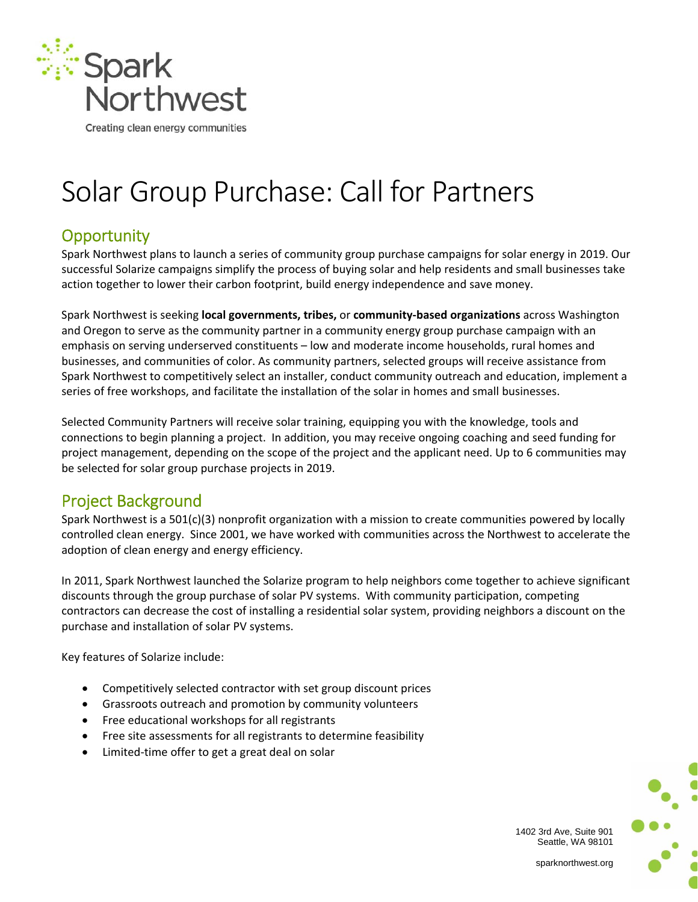

# Solar Group Purchase: Call for Partners

# **Opportunity**

Spark Northwest plans to launch a series of community group purchase campaigns for solar energy in 2019. Our successful Solarize campaigns simplify the process of buying solar and help residents and small businesses take action together to lower their carbon footprint, build energy independence and save money.

Spark Northwest is seeking **local governments, tribes,** or **community‐based organizations** across Washington and Oregon to serve as the community partner in a community energy group purchase campaign with an emphasis on serving underserved constituents – low and moderate income households, rural homes and businesses, and communities of color. As community partners, selected groups will receive assistance from Spark Northwest to competitively select an installer, conduct community outreach and education, implement a series of free workshops, and facilitate the installation of the solar in homes and small businesses.

Selected Community Partners will receive solar training, equipping you with the knowledge, tools and connections to begin planning a project. In addition, you may receive ongoing coaching and seed funding for project management, depending on the scope of the project and the applicant need. Up to 6 communities may be selected for solar group purchase projects in 2019.

### Project Background

Spark Northwest is a 501(c)(3) nonprofit organization with a mission to create communities powered by locally controlled clean energy. Since 2001, we have worked with communities across the Northwest to accelerate the adoption of clean energy and energy efficiency.

In 2011, Spark Northwest launched the Solarize program to help neighbors come together to achieve significant discounts through the group purchase of solar PV systems. With community participation, competing contractors can decrease the cost of installing a residential solar system, providing neighbors a discount on the purchase and installation of solar PV systems.

Key features of Solarize include:

- Competitively selected contractor with set group discount prices
- Grassroots outreach and promotion by community volunteers
- Free educational workshops for all registrants
- Free site assessments for all registrants to determine feasibility
- Limited-time offer to get a great deal on solar

1402 3rd Ave, Suite 901 Seattle, WA 98101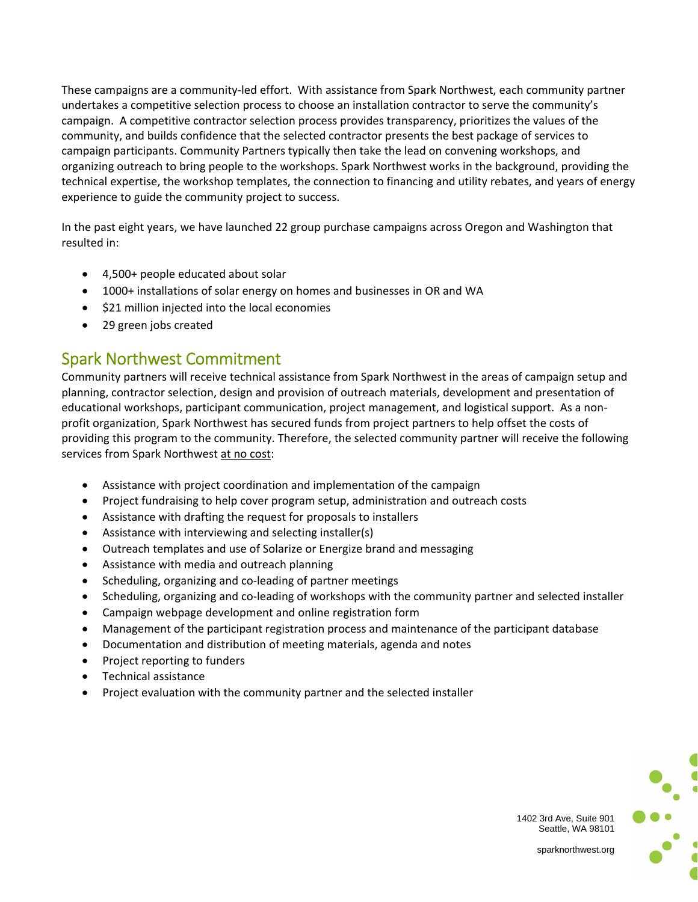These campaigns are a community‐led effort. With assistance from Spark Northwest, each community partner undertakes a competitive selection process to choose an installation contractor to serve the community's campaign. A competitive contractor selection process provides transparency, prioritizes the values of the community, and builds confidence that the selected contractor presents the best package of services to campaign participants. Community Partners typically then take the lead on convening workshops, and organizing outreach to bring people to the workshops. Spark Northwest works in the background, providing the technical expertise, the workshop templates, the connection to financing and utility rebates, and years of energy experience to guide the community project to success.

In the past eight years, we have launched 22 group purchase campaigns across Oregon and Washington that resulted in:

- 4,500+ people educated about solar
- 1000+ installations of solar energy on homes and businesses in OR and WA
- $\bullet$  \$21 million injected into the local economies
- 29 green jobs created

#### Spark Northwest Commitment

Community partners will receive technical assistance from Spark Northwest in the areas of campaign setup and planning, contractor selection, design and provision of outreach materials, development and presentation of educational workshops, participant communication, project management, and logistical support. As a non‐ profit organization, Spark Northwest has secured funds from project partners to help offset the costs of providing this program to the community. Therefore, the selected community partner will receive the following services from Spark Northwest at no cost:

- Assistance with project coordination and implementation of the campaign
- Project fundraising to help cover program setup, administration and outreach costs
- Assistance with drafting the request for proposals to installers
- Assistance with interviewing and selecting installer(s)
- Outreach templates and use of Solarize or Energize brand and messaging
- Assistance with media and outreach planning
- Scheduling, organizing and co-leading of partner meetings
- Scheduling, organizing and co-leading of workshops with the community partner and selected installer
- Campaign webpage development and online registration form
- Management of the participant registration process and maintenance of the participant database
- Documentation and distribution of meeting materials, agenda and notes
- Project reporting to funders
- Technical assistance
- Project evaluation with the community partner and the selected installer



1402 3rd Ave, Suite 901 Seattle, WA 98101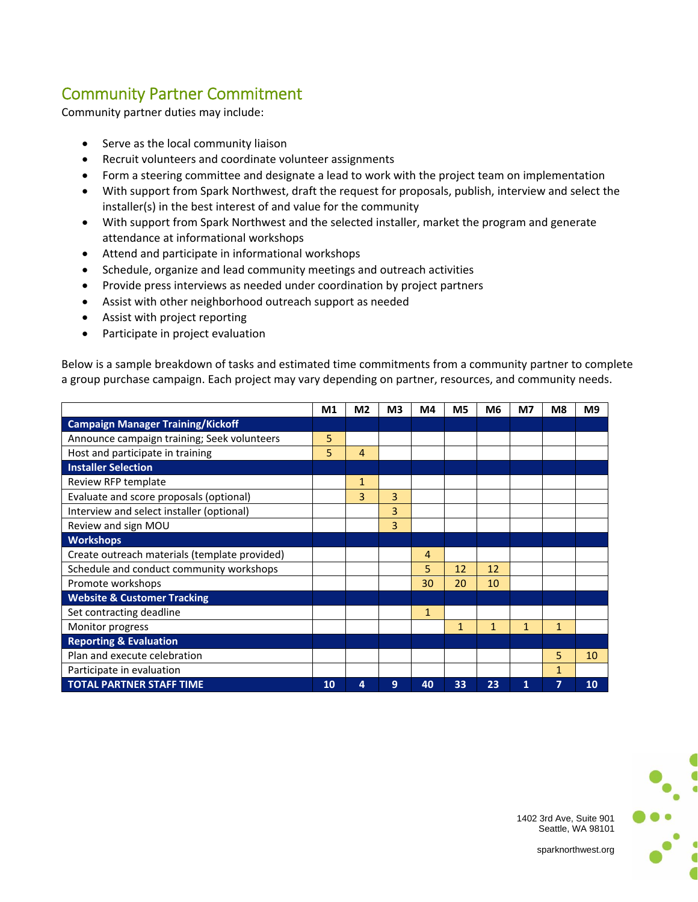## Community Partner Commitment

Community partner duties may include:

- Serve as the local community liaison
- Recruit volunteers and coordinate volunteer assignments
- Form a steering committee and designate a lead to work with the project team on implementation
- With support from Spark Northwest, draft the request for proposals, publish, interview and select the installer(s) in the best interest of and value for the community
- With support from Spark Northwest and the selected installer, market the program and generate attendance at informational workshops
- Attend and participate in informational workshops
- Schedule, organize and lead community meetings and outreach activities
- Provide press interviews as needed under coordination by project partners
- Assist with other neighborhood outreach support as needed
- Assist with project reporting
- Participate in project evaluation

Below is a sample breakdown of tasks and estimated time commitments from a community partner to complete a group purchase campaign. Each project may vary depending on partner, resources, and community needs.

|                                               | M1 | M <sub>2</sub> | M <sub>3</sub> | M4           | M <sub>5</sub> | M <sub>6</sub> | M7           | M <sub>8</sub> | M <sub>9</sub> |
|-----------------------------------------------|----|----------------|----------------|--------------|----------------|----------------|--------------|----------------|----------------|
| <b>Campaign Manager Training/Kickoff</b>      |    |                |                |              |                |                |              |                |                |
| Announce campaign training; Seek volunteers   | 5  |                |                |              |                |                |              |                |                |
| Host and participate in training              | 5  | 4              |                |              |                |                |              |                |                |
| <b>Installer Selection</b>                    |    |                |                |              |                |                |              |                |                |
| Review RFP template                           |    | $\mathbf{1}$   |                |              |                |                |              |                |                |
| Evaluate and score proposals (optional)       |    | 3              | 3              |              |                |                |              |                |                |
| Interview and select installer (optional)     |    |                | 3              |              |                |                |              |                |                |
| Review and sign MOU                           |    |                | 3              |              |                |                |              |                |                |
| <b>Workshops</b>                              |    |                |                |              |                |                |              |                |                |
| Create outreach materials (template provided) |    |                |                | 4            |                |                |              |                |                |
| Schedule and conduct community workshops      |    |                |                | 5            | 12             | 12             |              |                |                |
| Promote workshops                             |    |                |                | 30           | 20             | 10             |              |                |                |
| <b>Website &amp; Customer Tracking</b>        |    |                |                |              |                |                |              |                |                |
| Set contracting deadline                      |    |                |                | $\mathbf{1}$ |                |                |              |                |                |
| Monitor progress                              |    |                |                |              | 1              | 1              | $\mathbf{1}$ | $\mathbf 1$    |                |
| <b>Reporting &amp; Evaluation</b>             |    |                |                |              |                |                |              |                |                |
| Plan and execute celebration                  |    |                |                |              |                |                |              | 5              | 10             |
| Participate in evaluation                     |    |                |                |              |                |                |              | 1              |                |
| <b>TOTAL PARTNER STAFF TIME</b>               | 10 | 4              | 9              | 40           | 33             | 23             | 1            | 7              | 10             |



1402 3rd Ave, Suite 901 Seattle, WA 98101